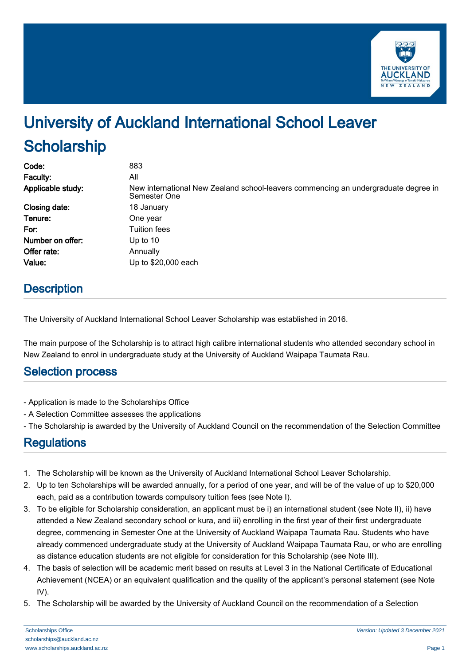

# University of Auckland International School Leaver **Scholarship**

| Code:             | 883                                                                                                |
|-------------------|----------------------------------------------------------------------------------------------------|
| Faculty:          | All                                                                                                |
| Applicable study: | New international New Zealand school-leavers commencing an undergraduate degree in<br>Semester One |
| Closing date:     | 18 January                                                                                         |
| Tenure:           | One year                                                                                           |
| For:              | <b>Tuition fees</b>                                                                                |
| Number on offer:  | Up to $10$                                                                                         |
| Offer rate:       | Annually                                                                                           |
| Value:            | Up to \$20,000 each                                                                                |

## **Description**

The University of Auckland International School Leaver Scholarship was established in 2016.

The main purpose of the Scholarship is to attract high calibre international students who attended secondary school in New Zealand to enrol in undergraduate study at the University of Auckland Waipapa Taumata Rau.

#### Selection process

- Application is made to the Scholarships Office
- A Selection Committee assesses the applications
- The Scholarship is awarded by the University of Auckland Council on the recommendation of the Selection Committee

### **Regulations**

- 1. The Scholarship will be known as the University of Auckland International School Leaver Scholarship.
- 2. Up to ten Scholarships will be awarded annually, for a period of one year, and will be of the value of up to \$20,000 each, paid as a contribution towards compulsory tuition fees (see Note I).
- 3. To be eligible for Scholarship consideration, an applicant must be i) an international student (see Note II), ii) have attended a New Zealand secondary school or kura, and iii) enrolling in the first year of their first undergraduate degree, commencing in Semester One at the University of Auckland Waipapa Taumata Rau. Students who have already commenced undergraduate study at the University of Auckland Waipapa Taumata Rau, or who are enrolling as distance education students are not eligible for consideration for this Scholarship (see Note III).
- 4. The basis of selection will be academic merit based on results at Level 3 in the National Certificate of Educational Achievement (NCEA) or an equivalent qualification and the quality of the applicant's personal statement (see Note IV).
- 5. The Scholarship will be awarded by the University of Auckland Council on the recommendation of a Selection